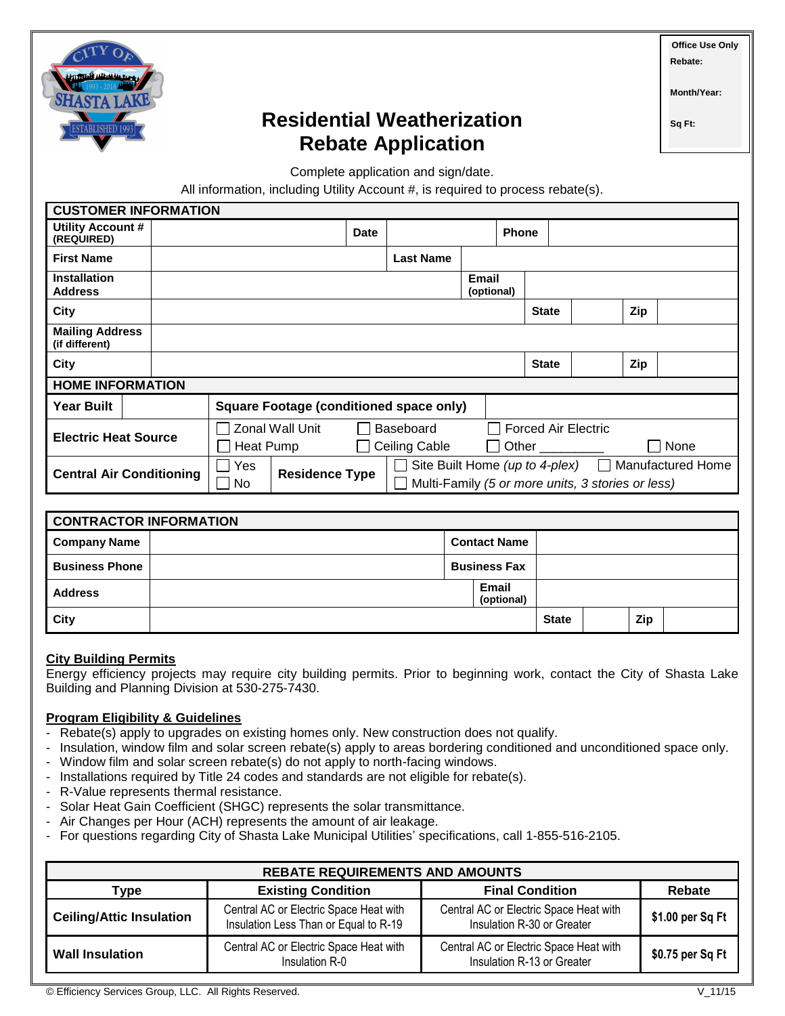

# **Residential Weatherization Rebate Application**

**Month/Year:**

**Office Use Only Rebate:**

**Sq Ft:** 

Complete application and sign/date.

All information, including Utility Account #, is required to process rebate(s).

| <b>CUSTOMER INFORMATION</b>              |                                                |                                   |  |      |                                                                   |                     |                            |     |  |  |  |
|------------------------------------------|------------------------------------------------|-----------------------------------|--|------|-------------------------------------------------------------------|---------------------|----------------------------|-----|--|--|--|
| Utility Account #<br>(REQUIRED)          |                                                |                                   |  | Date |                                                                   |                     | <b>Phone</b>               |     |  |  |  |
| <b>First Name</b>                        |                                                |                                   |  |      | <b>Last Name</b>                                                  |                     |                            |     |  |  |  |
| <b>Installation</b><br><b>Address</b>    |                                                |                                   |  |      |                                                                   | Email<br>(optional) |                            |     |  |  |  |
| City                                     | <b>State</b>                                   |                                   |  |      |                                                                   | Zip                 |                            |     |  |  |  |
| <b>Mailing Address</b><br>(if different) |                                                |                                   |  |      |                                                                   |                     |                            |     |  |  |  |
| City                                     |                                                |                                   |  |      |                                                                   | <b>State</b>        |                            | Zip |  |  |  |
| <b>HOME INFORMATION</b>                  |                                                |                                   |  |      |                                                                   |                     |                            |     |  |  |  |
| <b>Year Built</b>                        | <b>Square Footage (conditioned space only)</b> |                                   |  |      |                                                                   |                     |                            |     |  |  |  |
| <b>Electric Heat Source</b>              |                                                | Zonal Wall Unit<br>Baseboard      |  |      |                                                                   |                     | <b>Forced Air Electric</b> |     |  |  |  |
|                                          |                                                | <b>Ceiling Cable</b><br>Heat Pump |  |      |                                                                   | Other<br>None       |                            |     |  |  |  |
| <b>Central Air Conditioning</b>          |                                                | Yes<br><b>Residence Type</b>      |  |      | Site Built Home (up to 4-plex) $\Box$<br><b>Manufactured Home</b> |                     |                            |     |  |  |  |
|                                          |                                                | No.                               |  |      | Multi-Family (5 or more units, 3 stories or less)                 |                     |                            |     |  |  |  |

| <b>CONTRACTOR INFORMATION</b> |                     |                     |                            |              |  |     |  |
|-------------------------------|---------------------|---------------------|----------------------------|--------------|--|-----|--|
| <b>Company Name</b>           |                     | <b>Contact Name</b> |                            |              |  |     |  |
| <b>Business Phone</b>         | <b>Business Fax</b> |                     |                            |              |  |     |  |
| <b>Address</b>                |                     |                     | <b>Email</b><br>(optional) |              |  |     |  |
| City                          |                     |                     |                            | <b>State</b> |  | Zip |  |

### **City Building Permits**

Energy efficiency projects may require city building permits. Prior to beginning work, contact the City of Shasta Lake Building and Planning Division at 530-275-7430.

# **Program Eligibility & Guidelines**

- Rebate(s) apply to upgrades on existing homes only. New construction does not qualify.
- Insulation, window film and solar screen rebate(s) apply to areas bordering conditioned and unconditioned space only.
- Window film and solar screen rebate(s) do not apply to north-facing windows.
- Installations required by Title 24 codes and standards are not eligible for rebate(s).
- R-Value represents thermal resistance.
- Solar Heat Gain Coefficient (SHGC) represents the solar transmittance.
- Air Changes per Hour (ACH) represents the amount of air leakage.
- For questions regarding City of Shasta Lake Municipal Utilities' specifications, call 1-855-516-2105.

| <b>REBATE REQUIREMENTS AND AMOUNTS</b> |                                                                                 |                                                                      |                  |  |  |  |
|----------------------------------------|---------------------------------------------------------------------------------|----------------------------------------------------------------------|------------------|--|--|--|
| Type                                   | <b>Existing Condition</b>                                                       | <b>Final Condition</b>                                               | <b>Rebate</b>    |  |  |  |
| <b>Ceiling/Attic Insulation</b>        | Central AC or Electric Space Heat with<br>Insulation Less Than or Equal to R-19 | Central AC or Electric Space Heat with<br>Insulation R-30 or Greater | \$1.00 per Sq Ft |  |  |  |
| <b>Wall Insulation</b>                 | Central AC or Electric Space Heat with<br>Insulation R-0                        | Central AC or Electric Space Heat with<br>Insulation R-13 or Greater | \$0.75 per Sq Ft |  |  |  |